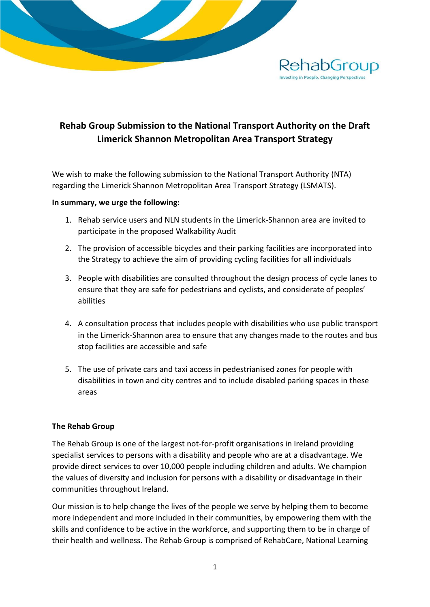

# **Rehab Group Submission to the National Transport Authority on the Draft Limerick Shannon Metropolitan Area Transport Strategy**

We wish to make the following submission to the National Transport Authority (NTA) regarding the Limerick Shannon Metropolitan Area Transport Strategy (LSMATS).

#### **In summary, we urge the following:**

- 1. Rehab service users and NLN students in the Limerick-Shannon area are invited to participate in the proposed Walkability Audit
- 2. The provision of accessible bicycles and their parking facilities are incorporated into the Strategy to achieve the aim of providing cycling facilities for all individuals
- 3. People with disabilities are consulted throughout the design process of cycle lanes to ensure that they are safe for pedestrians and cyclists, and considerate of peoples' abilities
- 4. A consultation process that includes people with disabilities who use public transport in the Limerick-Shannon area to ensure that any changes made to the routes and bus stop facilities are accessible and safe
- 5. The use of private cars and taxi access in pedestrianised zones for people with disabilities in town and city centres and to include disabled parking spaces in these areas

# **The Rehab Group**

The Rehab Group is one of the largest not-for-profit organisations in Ireland providing specialist services to persons with a disability and people who are at a disadvantage. We provide direct services to over 10,000 people including children and adults. We champion the values of diversity and inclusion for persons with a disability or disadvantage in their communities throughout Ireland.

Our mission is to help change the lives of the people we serve by helping them to become more independent and more included in their communities, by empowering them with the skills and confidence to be active in the workforce, and supporting them to be in charge of their health and wellness. The Rehab Group is comprised of RehabCare, National Learning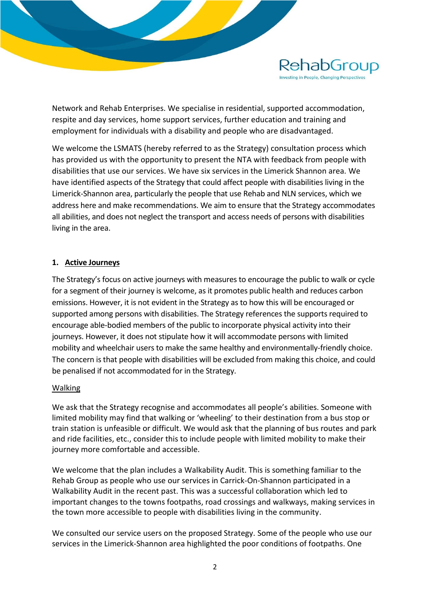

Network and Rehab Enterprises. We specialise in residential, supported accommodation, respite and day services, home support services, further education and training and employment for individuals with a disability and people who are disadvantaged.

We welcome the LSMATS (hereby referred to as the Strategy) consultation process which has provided us with the opportunity to present the NTA with feedback from people with disabilities that use our services. We have six services in the Limerick Shannon area. We have identified aspects of the Strategy that could affect people with disabilities living in the Limerick-Shannon area, particularly the people that use Rehab and NLN services, which we address here and make recommendations. We aim to ensure that the Strategy accommodates all abilities, and does not neglect the transport and access needs of persons with disabilities living in the area.

## **1. Active Journeys**

The Strategy's focus on active journeys with measures to encourage the public to walk or cycle for a segment of their journey is welcome, as it promotes public health and reduces carbon emissions. However, it is not evident in the Strategy as to how this will be encouraged or supported among persons with disabilities. The Strategy references the supports required to encourage able-bodied members of the public to incorporate physical activity into their journeys. However, it does not stipulate how it will accommodate persons with limited mobility and wheelchair users to make the same healthy and environmentally-friendly choice. The concern is that people with disabilities will be excluded from making this choice, and could be penalised if not accommodated for in the Strategy.

#### Walking

We ask that the Strategy recognise and accommodates all people's abilities. Someone with limited mobility may find that walking or 'wheeling' to their destination from a bus stop or train station is unfeasible or difficult. We would ask that the planning of bus routes and park and ride facilities, etc., consider this to include people with limited mobility to make their journey more comfortable and accessible.

We welcome that the plan includes a Walkability Audit. This is something familiar to the Rehab Group as people who use our services in Carrick-On-Shannon participated in a Walkability Audit in the recent past. This was a successful collaboration which led to important changes to the towns footpaths, road crossings and walkways, making services in the town more accessible to people with disabilities living in the community.

We consulted our service users on the proposed Strategy. Some of the people who use our services in the Limerick-Shannon area highlighted the poor conditions of footpaths. One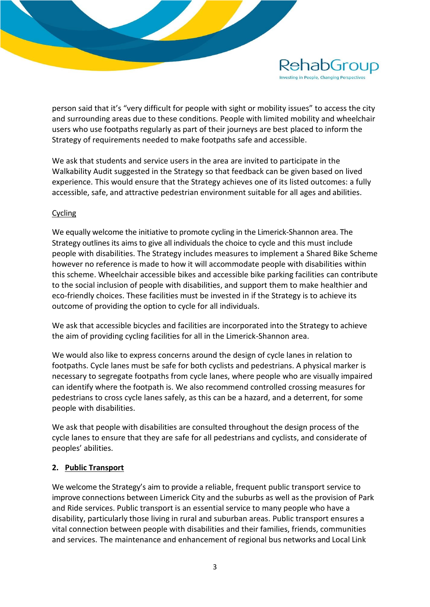

person said that it's "very difficult for people with sight or mobility issues" to access the city and surrounding areas due to these conditions. People with limited mobility and wheelchair users who use footpaths regularly as part of their journeys are best placed to inform the Strategy of requirements needed to make footpaths safe and accessible.

We ask that students and service users in the area are invited to participate in the Walkability Audit suggested in the Strategy so that feedback can be given based on lived experience. This would ensure that the Strategy achieves one of its listed outcomes: a fully accessible, safe, and attractive pedestrian environment suitable for all ages and abilities.

## Cycling

We equally welcome the initiative to promote cycling in the Limerick-Shannon area. The Strategy outlines its aims to give all individuals the choice to cycle and this must include people with disabilities. The Strategy includes measures to implement a Shared Bike Scheme however no reference is made to how it will accommodate people with disabilities within this scheme. Wheelchair accessible bikes and accessible bike parking facilities can contribute to the social inclusion of people with disabilities, and support them to make healthier and eco-friendly choices. These facilities must be invested in if the Strategy is to achieve its outcome of providing the option to cycle for all individuals.

We ask that accessible bicycles and facilities are incorporated into the Strategy to achieve the aim of providing cycling facilities for all in the Limerick-Shannon area.

We would also like to express concerns around the design of cycle lanes in relation to footpaths. Cycle lanes must be safe for both cyclists and pedestrians. A physical marker is necessary to segregate footpaths from cycle lanes, where people who are visually impaired can identify where the footpath is. We also recommend controlled crossing measures for pedestrians to cross cycle lanes safely, as this can be a hazard, and a deterrent, for some people with disabilities.

We ask that people with disabilities are consulted throughout the design process of the cycle lanes to ensure that they are safe for all pedestrians and cyclists, and considerate of peoples' abilities.

#### **2. Public Transport**

We welcome the Strategy's aim to provide a reliable, frequent public transport service to improve connections between Limerick City and the suburbs as well as the provision of Park and Ride services. Public transport is an essential service to many people who have a disability, particularly those living in rural and suburban areas. Public transport ensures a vital connection between people with disabilities and their families, friends, communities and services. The maintenance and enhancement of regional bus networks and Local Link